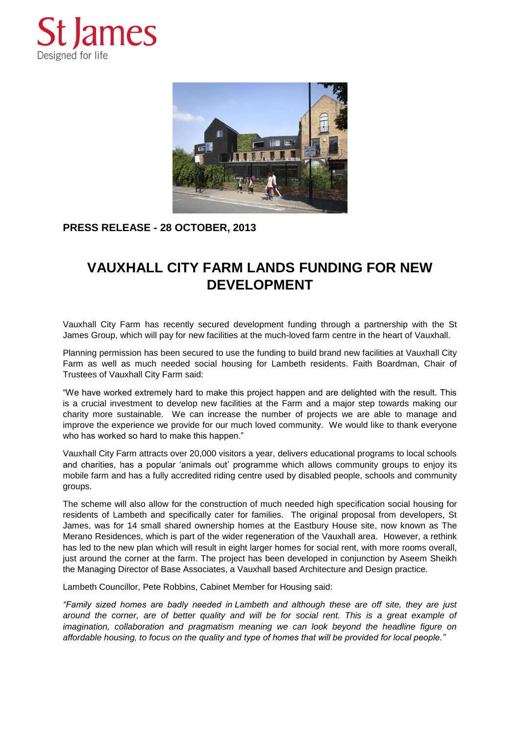



## **PRESS RELEASE - 28 OCTOBER, 2013**

## **VAUXHALL CITY FARM LANDS FUNDING FOR NEW DEVELOPMENT**

Vauxhall City Farm has recently secured development funding through a partnership with the St James Group, which will pay for new facilities at the much-loved farm centre in the heart of Vauxhall.

Planning permission has been secured to use the funding to build brand new facilities at Vauxhall City Farm as well as much needed social housing for Lambeth residents. Faith Boardman, Chair of Trustees of Vauxhall City Farm said:

"We have worked extremely hard to make this project happen and are delighted with the result. This is a crucial investment to develop new facilities at the Farm and a major step towards making our charity more sustainable. We can increase the number of projects we are able to manage and improve the experience we provide for our much loved community. We would like to thank everyone who has worked so hard to make this happen."

Vauxhall City Farm attracts over 20,000 visitors a year, delivers educational programs to local schools and charities, has a popular 'animals out' programme which allows community groups to enjoy its mobile farm and has a fully accredited riding centre used by disabled people, schools and community groups.

The scheme will also allow for the construction of much needed high specification social housing for residents of Lambeth and specifically cater for families. The original proposal from developers, St James, was for 14 small shared ownership homes at the Eastbury House site, now known as The Merano Residences, which is part of the wider regeneration of the Vauxhall area. However, a rethink has led to the new plan which will result in eight larger homes for social rent, with more rooms overall, just around the corner at the farm. The project has been developed in conjunction by Aseem Sheikh the Managing Director of Base Associates, a Vauxhall based Architecture and Design practice.

Lambeth Councillor, Pete Robbins, Cabinet Member for Housing said:

*"Family sized homes are badly needed in Lambeth and although these are off site, they are just around the corner, are of better quality and will be for social rent. This is a great example of imagination, collaboration and pragmatism meaning we can look beyond the headline figure on affordable housing, to focus on the quality and type of homes that will be provided for local people."*